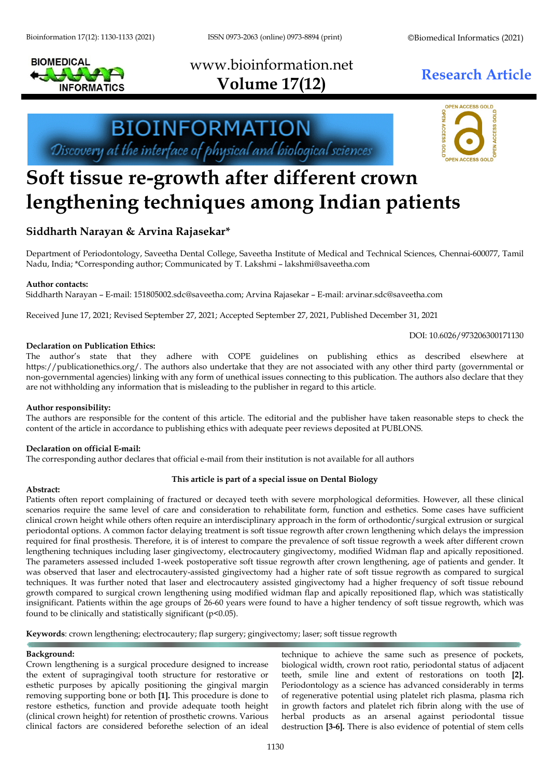Bioinformation 17(12): 1130-1133 (2021) ISSN 0973-2063 (online) 0973-8894 (print) ©Biomedical Informatics (2021)

# www.bioinformation.net **Research Article Volume 17(12)**





## **Soft tissue re-growth after different crown lengthening techniques among Indian patients**

### **Siddharth Narayan & Arvina Rajasekar\***

Department of Periodontology, Saveetha Dental College, Saveetha Institute of Medical and Technical Sciences, Chennai-600077, Tamil Nadu, India; \*Corresponding author; Communicated by T. Lakshmi – lakshmi@saveetha.com

#### **Author contacts:**

Siddharth Narayan – E-mail: 151805002.sdc@saveetha.com; Arvina Rajasekar – E-mail: arvinar.sdc@saveetha.com

Received June 17, 2021; Revised September 27, 2021; Accepted September 27, 2021, Published December 31, 2021

DOI: 10.6026/973206300171130

#### **Declaration on Publication Ethics:**

The author's state that they adhere with COPE guidelines on publishing ethics as described elsewhere at https://publicationethics.org/. The authors also undertake that they are not associated with any other third party (governmental or non-governmental agencies) linking with any form of unethical issues connecting to this publication. The authors also declare that they are not withholding any information that is misleading to the publisher in regard to this article.

#### **Author responsibility:**

The authors are responsible for the content of this article. The editorial and the publisher have taken reasonable steps to check the content of the article in accordance to publishing ethics with adequate peer reviews deposited at PUBLONS.

#### **Declaration on official E-mail:**

The corresponding author declares that official e-mail from their institution is not available for all authors

#### **This article is part of a special issue on Dental Biology**

#### **Abstract:**

Patients often report complaining of fractured or decayed teeth with severe morphological deformities. However, all these clinical scenarios require the same level of care and consideration to rehabilitate form, function and esthetics. Some cases have sufficient clinical crown height while others often require an interdisciplinary approach in the form of orthodontic/surgical extrusion or surgical periodontal options. A common factor delaying treatment is soft tissue regrowth after crown lengthening which delays the impression required for final prosthesis. Therefore, it is of interest to compare the prevalence of soft tissue regrowth a week after different crown lengthening techniques including laser gingivectomy, electrocautery gingivectomy, modified Widman flap and apically repositioned. The parameters assessed included 1-week postoperative soft tissue regrowth after crown lengthening, age of patients and gender. It was observed that laser and electrocautery-assisted gingivectomy had a higher rate of soft tissue regrowth as compared to surgical techniques. It was further noted that laser and electrocautery assisted gingivectomy had a higher frequency of soft tissue rebound growth compared to surgical crown lengthening using modified widman flap and apically repositioned flap, which was statistically insignificant. Patients within the age groups of 26-60 years were found to have a higher tendency of soft tissue regrowth, which was found to be clinically and statistically significant  $(p<0.05)$ .

**Keywords**: crown lengthening; electrocautery; flap surgery; gingivectomy; laser; soft tissue regrowth

#### **Background:**

Crown lengthening is a surgical procedure designed to increase the extent of supragingival tooth structure for restorative or esthetic purposes by apically positioning the gingival margin removing supporting bone or both **[\[1\]](https://paperpile.com/c/LjYNSr/Rnq5y).** This procedure is done to restore esthetics, function and provide adequate tooth height (clinical crown height) for retention of prosthetic crowns. Various clinical factors are considered beforethe selection of an ideal

technique to achieve the same such as presence of pockets, biological width, crown root ratio, periodontal status of adjacent teeth, smile line and extent of restorations on tooth **[\[2\]](https://paperpile.com/c/LjYNSr/VizPr).** Periodontology as a science has advanced considerably in terms of regenerative potential using platelet rich plasma, plasma rich in growth factors and platelet rich fibrin along with the use of herbal products as an arsenal against periodontal tissue destruction **[3[-6\]](https://paperpile.com/c/LjYNSr/1x0H+kYcr).** There is also evidence of potential of stem cells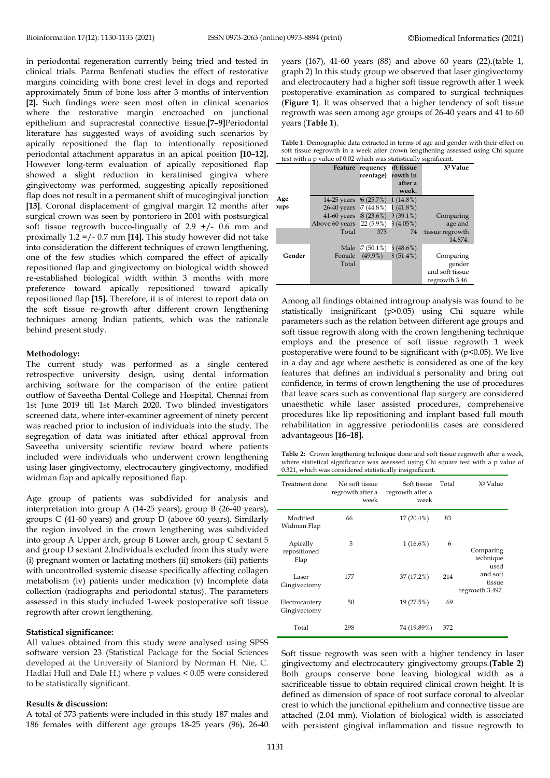in periodontal regeneration currently being tried and tested in clinical trials. Parma Benfenati studies the effect of restorative margins coinciding with bone crest level in dogs and reported approximately 5mm of bone loss after 3 months of intervention **[\[2\]](https://paperpile.com/c/LjYNSr/VizPr).** Such findings were seen most often in clinical scenarios where the restorative margin encroached on junctional epithelium and supracrestal connective tissue.**[\[7–9\]](https://paperpile.com/c/LjYNSr/Tn3nq+YtAg6+0F1AM)**Periodontal literature has suggested ways of avoiding such scenarios by apically repositioned the flap to intentionally repositioned periodontal attachment apparatus in an apical position **[\[10–12\]](https://paperpile.com/c/LjYNSr/v56Wk+sweR5+7lncA).**  However long-term evaluation of apically repositioned flap showed a slight reduction in keratinised gingiva where gingivectomy was performed, suggesting apically repositioned flap does not result in a permanent shift of mucogingival junction **[\[13\]](https://paperpile.com/c/LjYNSr/VVDWQ)**. Coronal displacement of gingival margin 12 months after surgical crown was seen by pontoriero in 2001 with postsurgical soft tissue regrowth bucco-lingually of 2.9 +/- 0.6 mm and proximally 1.2 =/- 0.7 mm **[\[14\]](https://paperpile.com/c/LjYNSr/7u5L5).** This study however did not take into consideration the different techniques of crown lengthening, one of the few studies which compared the effect of apically repositioned flap and gingivectomy on biological width showed re-established biological width within 3 months with more preference toward apically repositioned toward apically repositioned flap **[\[15\]](https://paperpile.com/c/LjYNSr/cxIJP).** Therefore, it is of interest to report data on the soft tissue re-growth after different crown lengthening techniques among Indian patients, which was the rationale behind present study.

#### **Methodology:**

The current study was performed as a single centered retrospective university design, using dental information archiving software for the comparison of the entire patient outflow of Saveetha Dental College and Hospital, Chennai from 1st June 2019 till 1st March 2020. Two blinded investigators screened data, where inter-examiner agreement of ninety percent was reached prior to inclusion of individuals into the study. The segregation of data was initiated after ethical approval from Saveetha university scientific review board where patients included were individuals who underwent crown lengthening using laser gingivectomy, electrocautery gingivectomy, modified widman flap and apically repositioned flap.

Age group of patients was subdivided for analysis and interpretation into group A (14-25 years), group B (26-40 years), groups C (41-60 years) and group D (above 60 years). Similarly the region involved in the crown lengthening was subdivided into group A Upper arch, group B Lower arch, group C sextant 5 and group D sextant 2.Individuals excluded from this study were (i) pregnant women or lactating mothers (ii) smokers (iii) patients with uncontrolled systemic disease specifically affecting collagen metabolism (iv) patients under medication (v) Incomplete data collection (radiographs and periodontal status). The parameters assessed in this study included 1-week postoperative soft tissue regrowth after crown lengthening.

#### **Statistical significance:**

All values obtained from this study were analysed using SPSS software version 23 (Statistical Package for the Social Sciences developed at the University of Stanford by Norman H. Nie, C. Hadlai Hull and Dale H.) where p values < 0.05 were considered to be statistically significant.

#### **Results & discussion:**

A total of 373 patients were included in this study 187 males and 186 females with different age groups 18-25 years (96), 26-40 years (167), 41-60 years (88) and above 60 years (22).(table 1, graph 2) In this study group we observed that laser gingivectomy and electrocautery had a higher soft tissue regrowth after 1 week postoperative examination as compared to surgical techniques (**Figure 1**). It was observed that a higher tendency of soft tissue regrowth was seen among age groups of 26-40 years and 41 to 60 years (**Table 1**).

**Table 1**: Demographic data extracted in terms of age and gender with their effect on soft tissue regrowth in a week after crown lengthening assessed using Chi square  $t_{\rm eff}$  with a p  $t_{\rm eff}$  of 0.02 which was statistically significant.

|   | lest with a p value of 0.02 which was statistically significant. |                        |             |                   |                      |  |  |  |
|---|------------------------------------------------------------------|------------------------|-------------|-------------------|----------------------|--|--|--|
|   |                                                                  | Feature                | requency    | <b>oft tissue</b> | X <sup>2</sup> Value |  |  |  |
|   |                                                                  |                        | rcentage)   | rowth in          |                      |  |  |  |
|   |                                                                  |                        |             | after a           |                      |  |  |  |
|   |                                                                  |                        |             | week.             |                      |  |  |  |
|   | Age                                                              | $14-25$ years          | 6(25.7%)    | $1(14.8\%)$       |                      |  |  |  |
| ۴ | <b>ups</b>                                                       | $26-40$ years          | $7(44.8\%)$ | $1(41.8\%)$       |                      |  |  |  |
|   |                                                                  | 41-60 years $8(23.6%)$ |             | $9(39.1\%)$       | Comparing            |  |  |  |
|   |                                                                  | Above 60 years         | $22(5.9\%)$ | 3(4.05%)          | age and              |  |  |  |
|   |                                                                  | Total                  | 373         | 74                | : tissue regrowth    |  |  |  |
|   |                                                                  |                        |             |                   | 14.874.              |  |  |  |
|   |                                                                  | Male                   | $7(50.1\%)$ | 5(48.6%)          |                      |  |  |  |
|   | Gender                                                           | Female                 | $(49.9\%)$  | $3(51.4\%)$       | Comparing            |  |  |  |
|   |                                                                  | Total                  |             |                   | gender               |  |  |  |
|   |                                                                  |                        |             |                   | and soft tissue      |  |  |  |
|   |                                                                  |                        |             |                   | regrowth 3.46.       |  |  |  |

Among all findings obtained intragroup analysis was found to be statistically insignificant (p>0.05) using Chi square while parameters such as the relation between different age groups and soft tissue regrowth along with the crown lengthening technique employs and the presence of soft tissue regrowth 1 week postoperative were found to be significant with  $(p<0.05)$ . We live in a day and age where aesthetic is considered as one of the key features that defines an individual's personality and bring out confidence, in terms of crown lengthening the use of procedures that leave scars such as conventional flap surgery are considered unaesthetic while laser assisted procedures, comprehensive procedures like lip repositioning and implant based full mouth rehabilitation in aggressive periodontitis cases are considered advantageous **[\[16–18\]](https://paperpile.com/c/LjYNSr/nfPAJ+RSRky+UxeY).**

**Table 2:** Crown lengthening technique done and soft tissue regrowth after a week, where statistical significance was assessed using Chi square test with a p value of 0.321, which was considered statistically insignificant.

| Treatment done                   | No soft tissue<br>regrowth after a<br>week | Soft tissue<br>regrowth after a<br>week | Total | X <sup>2</sup> Value                  |
|----------------------------------|--------------------------------------------|-----------------------------------------|-------|---------------------------------------|
| Modified<br>Widman Flap          | 66                                         | $17(20.4\%)$                            | 83    |                                       |
| Apically<br>repositioned<br>Flap | 5                                          | $1(16.6\%)$                             | 6     | Comparing<br>technique<br>used        |
| Laser<br>Gingivectomy            | 177                                        | 37 (17.2%)                              | 214   | and soft<br>tissue<br>regrowth 3.497. |
| Electrocautery<br>Gingivectomy   | 50                                         | 19 (27.5%)                              | 69    |                                       |
| Total                            | 298                                        | 74 (19.89%)                             | 372   |                                       |

Soft tissue regrowth was seen with a higher tendency in laser gingivectomy and electrocautery gingivectomy groups.**(Table 2)** Both groups conserve bone leaving biological width as a sacrificeable tissue to obtain required clinical crown height. It is defined as dimension of space of root surface coronal to alveolar crest to which the junctional epithelium and connective tissue are attached (2.04 mm). Violation of biological width is associated with persistent gingival inflammation and tissue regrowth to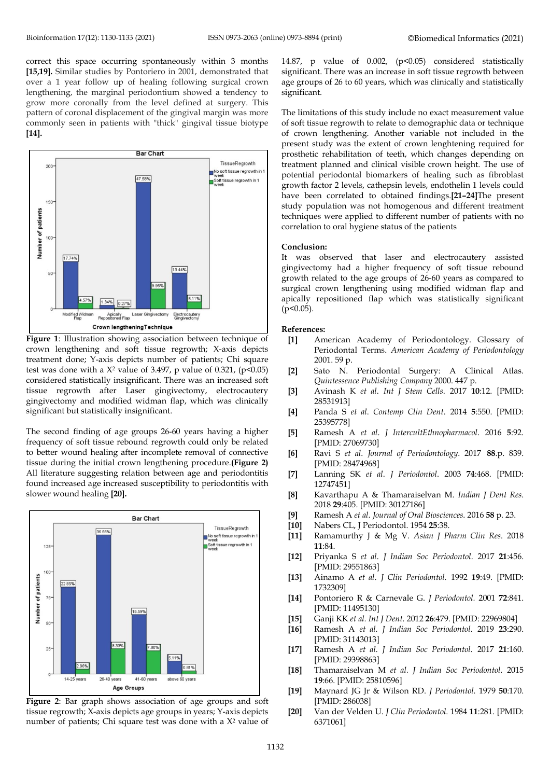correct this space occurring spontaneously within 3 month[s](https://paperpile.com/c/LjYNSr/9mmZf+cxIJP) **[\[15,19\]](https://paperpile.com/c/LjYNSr/9mmZf+cxIJP).** Similar studies by Pontoriero in 2001, demonstrated that over a 1 year follow up of healing following surgical crown lengthening, the marginal periodontium showed a tendency to grow more coronally from the level defined at surgery. This pattern of coronal displacement of the gingival margin was more commonly seen in patients with "thick" gingival tissue biotype **[\[14\]](https://paperpile.com/c/LjYNSr/7u5L5).**



**Figure 1**: Illustration showing association between technique of crown lengthening and soft tissue regrowth; X-axis depicts treatment done; Y-axis depicts number of patients; Chi square test was done with a  $X^2$  value of 3.497, p value of 0.321, (p<0.05) considered statistically insignificant. There was an increased soft tissue regrowth after Laser gingivectomy, electrocautery gingivectomy and modified widman flap, which was clinically significant but statistically insignificant.

The second finding of age groups 26-60 years having a higher frequency of soft tissue rebound regrowth could only be related to better wound healing after incomplete removal of connective tissue during the initial crown lengthening procedure.**(Figure 2)** All literature suggesting relation between age and periodontitis found increased age increased susceptibility to periodontitis with slower wound healing **[\[20\]](https://paperpile.com/c/LjYNSr/EE54e).**



**Figure 2**: Bar graph shows association of age groups and soft tissue regrowth; X-axis depicts age groups in years; Y-axis depicts number of patients; Chi square test was done with a  $X^2$  value of

14.87, p value of 0.002, (p<0.05) considered statistically significant. There was an increase in soft tissue regrowth between age groups of 26 to 60 years, which was clinically and statistically significant.

The limitations of this study include no exact measurement value of soft tissue regrowth to relate to demographic data or technique of crown lengthening. Another variable not included in the present study was the extent of crown lenghtening required for prosthetic rehabilitation of teeth, which changes depending on treatment planned and clinical visible crown height. The use of potential periodontal biomarkers of healing such as fibroblast growth factor 2 levels, cathepsin levels, endothelin 1 levels could have been correlated to obtained findings.**[\[21–24\]](https://paperpile.com/c/LjYNSr/34NN3+KDRIA+DQpR1+7p3Fn+4PCT3)**The present study population was not homogenous and different treatment techniques were applied to different number of patients with no correlation to oral hygiene status of the patients

#### **Conclusion:**

It was observed that laser and electrocautery assisted gingivectomy had a higher frequency of soft tissue rebound growth related to the age groups of 26-60 years as compared to surgical crown lengthening using modified widman flap and apically repositioned flap which was statistically significant  $(p<0.05)$ .

#### **References:**

- **[1]** [American Academy of Periodontology. Glossary of](http://paperpile.com/b/LjYNSr/Rnq5y)  Periodontal Terms. *[American Academy of Periodontology](http://paperpile.com/b/LjYNSr/Rnq5y)* [2001. 59 p.](http://paperpile.com/b/LjYNSr/Rnq5y)
- **[2]** [Sato N. Periodontal Surgery: A](http://paperpile.com/b/LjYNSr/VizPr) Clinical Atlas. *[Quintessence Publishing Company](http://paperpile.com/b/LjYNSr/VizPr)* 2000. 447 p.
- **[3]** Avinash K *et al*. *[Int J Stem Cells](http://paperpile.com/b/LjYNSr/npKM)*. 2017 **10**:12. [PMID: 28531913]
- **[4]** Panda S *et al*. *[Contemp Clin Dent](http://paperpile.com/b/LjYNSr/OT8b)*. 2014 **5**:550. [PMID: 25395778]
- **[5]** Ramesh A *et al*. *[J IntercultEthnopharmacol](http://paperpile.com/b/LjYNSr/1x0H)*. 2016 **5**:92. [PMID: 27069730]
- **[6]** Ravi S *et al*. *[Journal of Periodontology](http://paperpile.com/b/LjYNSr/kYcr)*. 2017 **88**.p. 839. [PMID: 28474968]
- **[7]** [Lanning SK](http://paperpile.com/b/LjYNSr/Tn3nq) *et al*. *J Periodontol*. 2003 **74**:468. [PMID: 12747451]
- **[8]** Kavarthapu A & [Thamaraiselvan M.](http://paperpile.com/b/LjYNSr/YtAg6) *Indian J Dent Res*. 2018 **29**[:405. \[](http://paperpile.com/b/LjYNSr/YtAg6)PMID: 30127186]
- **[9]** Ramesh A *et al*. *[Journal of Oral Biosciences](http://paperpile.com/b/LjYNSr/0F1AM)*. 2016 **58** p. 23.
- **[10]** Nabers CL, [J Periodontol. 1954](http://paperpile.com/b/LjYNSr/v56Wk) **25**:38.
- **[11]** Ramamurthy J & Mg V. *[Asian J Pharm Clin Res](http://paperpile.com/b/LjYNSr/sweR5)*. 2018 **11**[:84.](http://paperpile.com/b/LjYNSr/sweR5)
- **[12]** Priyanka S *et al*. *[J Indian Soc Periodontol](http://paperpile.com/b/LjYNSr/7lncA)*. 2017 **21**:456. [PMID: 29551863]
- **[13]** Ainamo A *et al*. *[J Clin Periodontol.](http://paperpile.com/b/LjYNSr/VVDWQ)* 1992 **19**:49. [PMID: 1732309]
- **[14]** [Pontoriero R &](http://paperpile.com/b/LjYNSr/7u5L5) Carnevale G. *J Periodontol.* 2001 **72**:841. [PMID: 11495130]
- **[15]** Ganji KK *et al. [Int J Dent.](http://paperpile.com/b/LjYNSr/cxIJP)* 2012 **26**:479. [PMID: 22969804]
- **[16]** Ramesh A *[et al. J Indian Soc Periodontol](http://paperpile.com/b/LjYNSr/nfPAJ)*. 2019 **23**:290. [PMID: 31143013]
- **[17]** Ramesh A *[et al. J Indian Soc Periodontol.](http://paperpile.com/b/LjYNSr/RSRky)* 2017 **21**:160. [PMID: 29398863]
- **[18]** Thamaraiselvan M *[et al. J Indian Soc Periodontol](http://paperpile.com/b/LjYNSr/UxeY)*. 2015 **19**[:66. \[](http://paperpile.com/b/LjYNSr/UxeY)PMID: 25810596]
- **[19]** [Maynard JG Jr &](http://paperpile.com/b/LjYNSr/9mmZf) Wilson RD. *J Periodontol.* 1979 **50**:170. [PMID: 286038]
- **[20]** [Van der Velden U.](http://paperpile.com/b/LjYNSr/EE54e) *J Clin Periodontol.* 1984 **11**:281. [PMID: 6371061]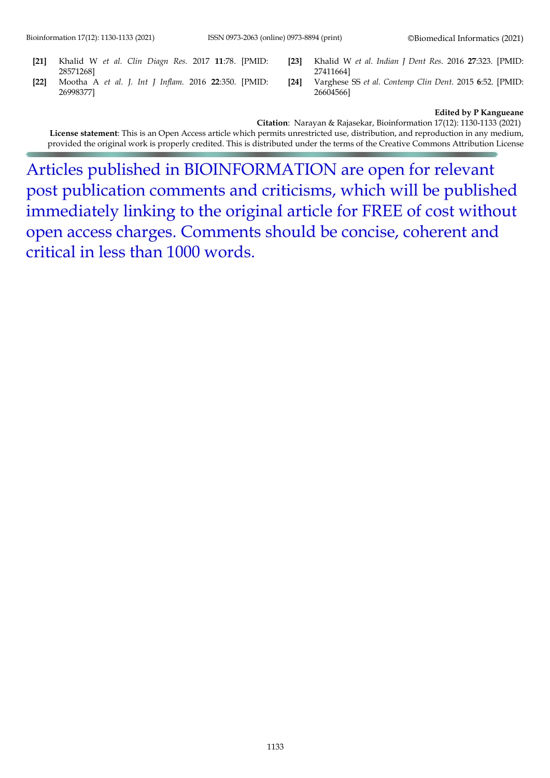- **[21]** Khalid W *[et al. Clin Diagn Res.](http://paperpile.com/b/LjYNSr/34NN3)* 2017 **11**:78. [PMID: 28571268]
- **[22]** Mootha A *[et al. J. Int J Inflam.](http://paperpile.com/b/LjYNSr/KDRIA)* 2016 **22**:350. [PMID: 26998377]
- **[23]** Khalid W *[et al. Indian J Dent Res](http://paperpile.com/b/LjYNSr/DQpR1)*. 2016 **27**:323. [PMID: 27411664]
- **[24]** Varghese SS *[et al. Contemp Clin Dent](http://paperpile.com/b/LjYNSr/7p3Fn)*. 2015 **6**:52. [PMID: 26604566]

#### **Edited by P Kangueane**

**Citation**: Narayan & Rajasekar, Bioinformation 17(12): 1130-1133 (2021) **License statement**: This is an Open Access article which permits unrestricted use, distribution, and reproduction in any medium, provided the original work is properly credited. This is distributed under the terms of the Creative Commons Attribution License

Articles published in BIOINFORMATION are open for relevant post publication comments and criticisms, which will be published immediately linking to the original article for FREE of cost without open access charges. Comments should be concise, coherent and critical in less than 1000 words.